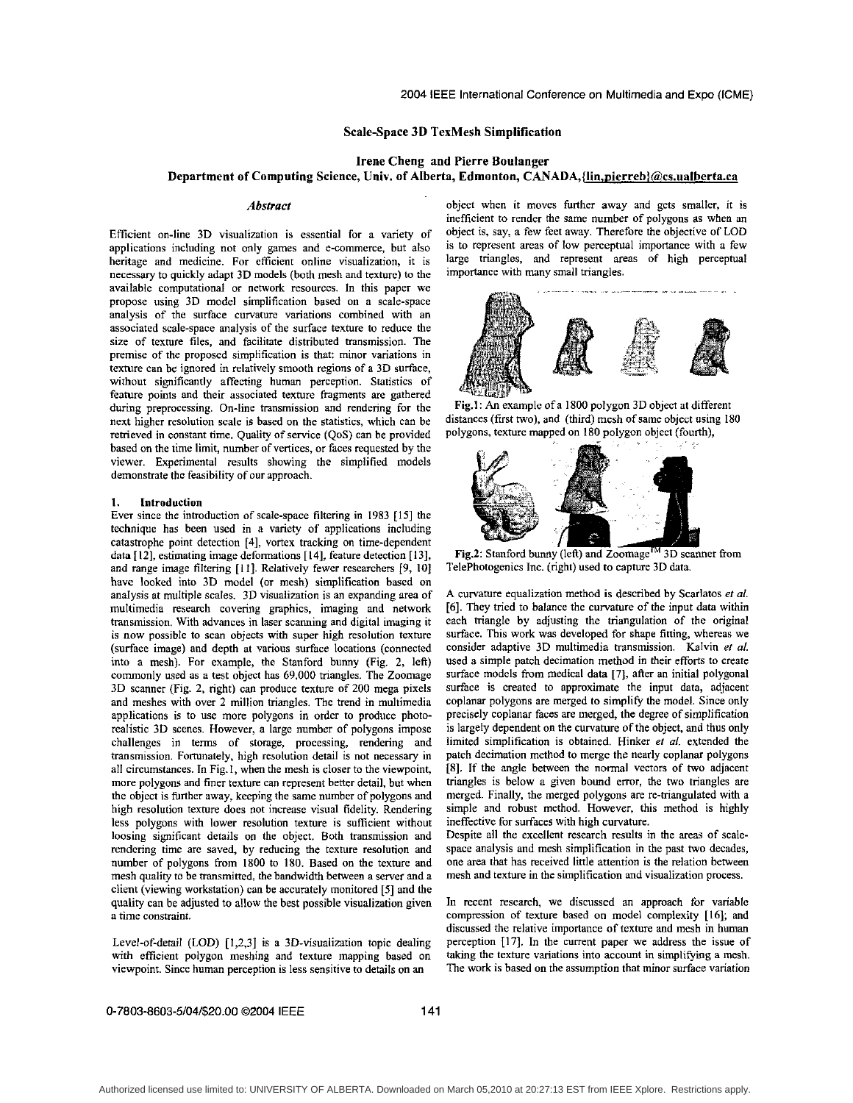# Scale-Space 3D TexMesh Simplification

Irene Cheng **and** Pierre Boulanger

# Department of Computing Science, Univ. of Alberta, Edmonton, CANADA, {lin, pierreb}@cs.ualberta.ca

#### *Abstract*

Efficient on-line 3D visualization is essential for a variety of applications including not only games and e-commerce, but also heritage and medicine. For efficient online visualization, it is necessary to quickly adapt 3D models (both mesh and texture) to the available computational or network resources. In this paper we propose using 3D model simplification based on a scale-space analysis of the surface curvature variations combined with an associated scale-space analysis of the surface texture to reduce the size of texture files, and facilitate distributed transmission. The premise of the proposed simplification is that: minor variations in texture can be ignored in relatively smooth regions of a 30 surface, without significantly affecting human perception. Statistics of feature points and their associated texture fragments are gathered during preprocessing. On-line transmission and rendering for the next higher resolution scale is based on the statistics, which can be retrieved in constant time. Quality of service *(QoS)* can be provided based on the time limit, number of vertices, or faces requested by the viewer. Experimental results showing the simplified models demonstrate the feasibility of our approach.

### **1.** Introduction

Ever since the introduction of scale-space filtering in 1983 **[15]** the technique has been used in a variety of applications including catastrophe point detection **[J],** vortex tracking on time-dependent data [12], estimating image deformations [14], feature detection [13], and range image filtering [11]. Relatively fewer researchers [9, 10] have looked into 3D model (or mesh) simplification based on analysis at multiple scales. 3D visualization is an expanding area of multimedia research covering graphics, imaging and network transmission. With advances in laser scanning and digital imaging it is now possible to scan objects with super high resolution texture (surface image) and depth at various surface locations (connected into a mesh). For example, the Stanford bunny (Fig. 2, left) commonly used as a test object has 69,000 triangles. The Zoomage 3D scanner (Fig. 2, right) can produce texture of 200 mega pixels and meshes with over 2 million triangles. The trend in multimedia applications is to use more polygons in order to produce photorealistic 3D scenes. However, a large number of polygons impose challenges in terms of storage, processing, rendering and transmission. Fortunately, high resolution detail is not necessary in all circumstances. In Fig. I, when the mesh is closer to the viewpoint, more polygons and finer texture can represent better detail, but when the object is further away, keeping the same number of polygons and high resolution texture does not increase visual fidelity. Rendering less polygons with lower resolution texture is sufficient without loosing significant details on the object. Both transmission and rendering time are saved, by reducing the texture resolution and number of polygons from **1800** to **180.** Based on the texture and mesh quality to be transmitted, the bandwidth between **a** server and a client (viewing workstation) can be accurately monitored [5] and the quality can be adjusted to allow the best possible visualization given a time constraint

Level-of-detail (LOD) [1,2,3] is a 3D-visualization topic dealing with efficient polygon meshing and texture mapping based on viewpoint. Since human perception is less sensitive to details on an

object when it moves further away and gets smaller, it is inefficient to render the same number of polygons as when an object is, say, a few feet away. Therefore the objective of LOD is to represent areas of low perceptual importance with a few large triangles, and represent areas of high perceptual importance with many small triangles.



Fig.1: An example of a 1800 polygon 3D object at different distances (first two), and (third) mesh of same object using 180 polygons, texture mapped on 180 polygon object (fourth),



Fig.2: Stanford bunny (left) and Zoomage<sup>TM</sup> 3D scanner from TelePhotogenics Inc. (right) used to capture 3D data.

**A** curvature equalization method is described by Scarlatos *et a/. [6].* **They** tried to balance the curvature of the input data within each triangle by adjusting the triangulation of the original surface. This work was developed for shape fitting, whereas we consider adaptive 3D multimedia transmission. Kalvin er *al.*  used a simple patch decimation method in their efforts to create surface models from medical data [7], after an initial polygonal surface is created to approximate the input data, adjacent coplanar polygons are merged to simplify the model. Since only precisely coplanar faces are merged, the degree of simplification is largely dependent on the curvature of the object, and thus only limited simplification is obtained. Hinker er *01.* extended the patch decimation method to merge the nearly coplanar polygons [SI. If the angle between the noma1 vectors of two adjacent triangles is below a given bound error, the two triangles are merged. Finally, the merged polygons are re-triangulated with a simple and robust method. However, this method is highly ineffective for surfaces with high curvature.

Despite all the excellent research results in the areas of scalespace analysis and mesh simplification in the past two decades, one area that has received little attention is the relation between mesh and texture in the simplification and visualization process.

In recent research, we discussed an approach for variable compression of texture based on model complexity **[l6];** and discussed the relative importance of texture and mesh in human perception [17]. In the current paper we address the issue of taking the texture variations into account in simplifying **a** mesh. The work is based on the assumption that minor surface variation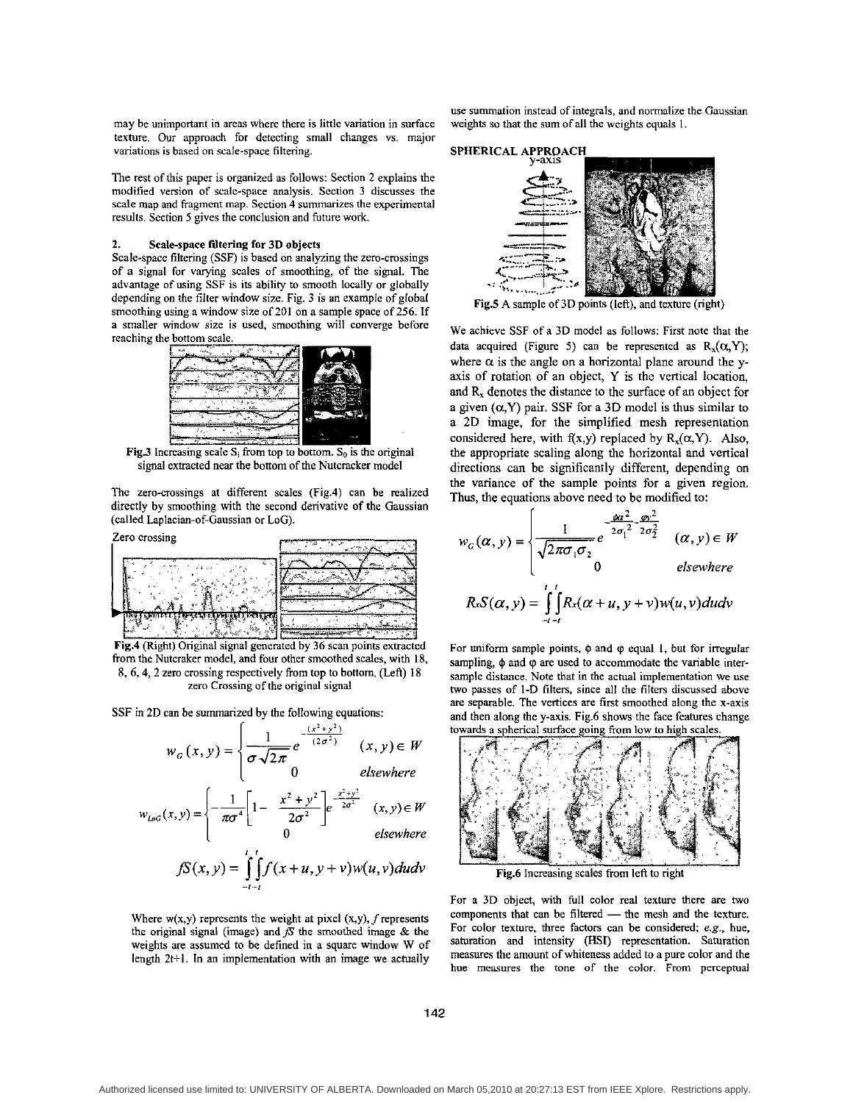may he unimportant in areas where there is little variation in surface texture. Our approach for detecting **small** changes vs. major variations is based on scale-space filtering.

The rest of this paper is organized as follows: Section 2 explains the modified version of scale-space analysis. Section 3 discusses the scale map and fragmcnt map. Section **4** summarizes the experimental results. Section *5* gives the conclusion and future work.

#### **2. Scale-space filtering for 3D objects**

Scale-space filtering (SSF) is based on analyzing the zero-crossings of a signal for varying scales of smoothing, of the signal. The advantage of using SSF is its ability to smooth locally or globally depending on the filter window size. Fig. 3 is an example of global smoothing using a window size of 201 on a sample space of *256.* If a smaller window size is used, smoothing will converge before



**Fig.3** Increasing scale  $S_i$  from top to bottom.  $S_0$  is the original signal extracted near the bottom of the Nutcracker model

The zero-crossings at different scales (Fig.4) can be realized directly by smoothing with the second derivative of the Gaussian (called Laplacian-of-Gaussian or **LOG).** 



**Fig.4** (Right) Original signal generated by 36 scan points extracted from the Nutcraker model, and four other smoothed scales, with **IS,**  8, **6,4,2** zero crossing respectively from top to bottom. (Left) 18 zero Crossing of the original signal

SSF in 2D can be summarized by the following equations:

$$
w_G(x, y) = \begin{cases} \frac{1}{\sigma \sqrt{2\pi}} e^{-\frac{(x^2 + y^2)}{(2\sigma^2)}} & (x, y) \in W \\ 0 & \text{elsewhere} \end{cases}
$$

$$
w_{LoG}(x, y) = \begin{cases} -\frac{1}{\pi \sigma^4} \left[ 1 - \frac{x^2 + y^2}{2\sigma^2} \right] e^{-\frac{x^2 + y^2}{2\sigma^2}} & (x, y) \in W \\ 0 & \text{elsewhere} \end{cases}
$$

$$
fS(x, y) = \int_{-t-t}^{t} \int_{t}^{t} f(x+u, y+v) w(u, v) du dv
$$

Where  $w(x,y)$  represents the weight at pixel  $(x,y)$ ,  $f$  represents the original signal (image) and  $fS$  the smoothed image  $\&$  the weights are assumed to be defined in a square window W of length 2t+l. **In an** implementation with **an** image we actually use summation instead of integrals, and normalize the Gaussian weights so that the sum of all the weights equals 1.



Fig.5 A sample of 3D points (left), and texture (right)

We achieve SSF of a 3D model as follows: First note that the data acquired (Figure 5) can be represented as  $R_x(\alpha, Y)$ ; where  $\alpha$  is the angle on a horizontal plane around the yaxis of rotation of an object, Y is the vertical location, and  $R<sub>x</sub>$  denotes the distance to the surface of an object for a given  $(\alpha, Y)$  pair. SSF for a 3D model is thus similar to a 2D image, for the simplified mesh representation considered here, with  $f(x,y)$  replaced by  $R_x(\alpha, Y)$ . Also, the appropriate scaling along the horizontal and vertical directions can be significantly different, depending on the variance of the sample points for a given region. **Thus,** the equations above need to be modified to:

$$
w_G(\alpha, y) = \begin{cases} \frac{1}{\sqrt{2\pi\sigma_1\sigma_2}} e^{-\frac{\phi\alpha^2}{2\sigma_1^2 - 2\sigma_2^2}} & (\alpha, y) \in W \\ 0 & \text{elsewhere} \end{cases}
$$
  

$$
R \cdot S(\alpha, y) = \int_{-i-i}^{i} R \cdot (\alpha + u, y + v) w(u, v) du dv
$$

For uniform sample points,  $\phi$  and  $\phi$  equal 1, but for irregular sampling,  $\phi$  and  $\phi$  are used to accommodate the variable intersample distance. Note that in the actual implementation we use two passes of I-D filters, since all the filters discussed above are separable. The vertices are first smoothed along the x-axis and then along the y-axis. Fig.6 shows the face features change towards a spherical surface going from low to high scales.



Fig.6 Increasing scales from left to right

For a 3D object, with full color real texture there are two components that can be filtered - the mesh and the texture. For color texture, three factors can he considered; e.g., hue, saturation and intensity **(HSI)** representation. Saturation measures the amount of whiteness added to a pure color and the hue measures the tone of the color. From perceptual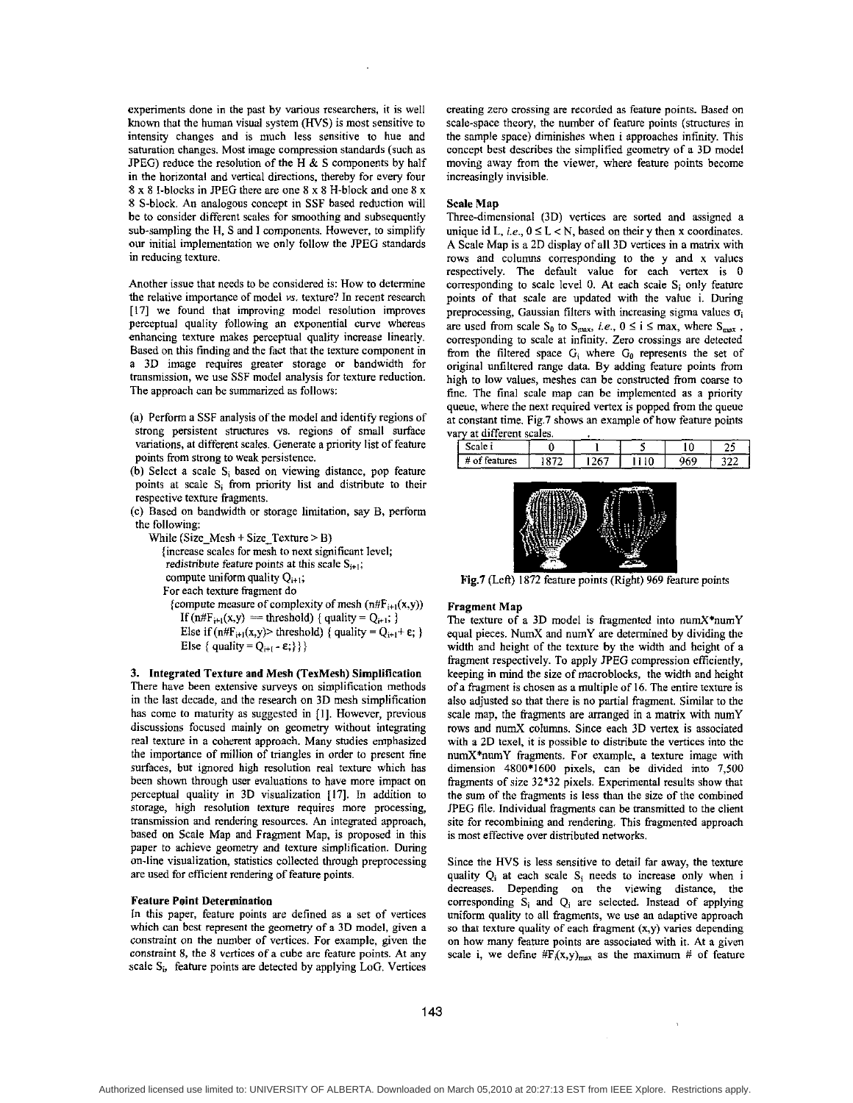experiments done in the past by various researchers, it is well known that the human visual system *(HVS)* is most sensitive to intensity changes and is much less sensitive to hue and saturation changes. Most image compression standards (such as JPEG) reduce the resolution of the H  $\&$  S components by half in the horizontal and vertical directions, thereby for every four **8** x **8** I-blocks in PEG there are one **8** x **8** H-block and one **8** x **8** S-block. *An* analogous concept in SSF based reduction will be to consider different scales for smoothing and subsequently sub-sampling the H, S and I components. However, to simplify our initial implementation we only follow the PEG standards in reducing texture.

Another issue that needs to be considered is: How to determine the relative importance of model *vs.* texture'? In recent research **[I71** we found that improving model resolution improves perceptual quality following an exponential curve whereas enhancing texture makes perceptual quality increase linearly. Based on this finding and the fact that the texture component in a **3D** image requires greater storage or bandwidth for transmission, we use SSF model analysis for texture reduction. The approach can be summarized as follows:

- (a) Perform a SSF analysis of the model and identify regions of strong persistent structures vs. regions of small surface variations, at different scales. Generate a priority list of feature points from strong to weak persistence.
- (b) Select a scale **S;** based on viewing distance, pop feature points at scale **Si** from priority list and distribute to their respective texture fragments.
- (c) Based on bandwidth or storage limitation, say B, perform the following:
	- While (Size Mesh + Size Texture > B)
		- (increase scales for mesh to next significant level;
		- redistribute feature points at this scale  $S_{i+1}$ ;
		- compute uniform quality  $Q_{i+1}$ ;
		- For each texture fragment do
		- {compute measure of complexity of mesh  $(n#F_{i+1}(x,y))$ If  $(n \# F_{i+1}(x,y) =$  threshold) { quality =  $Q_{i+1}$ ; } Else if  $(n#F_{i+1}(x,y)$  threshold) { quality =  $Q_{i+1} + \varepsilon$ ; } Else { quality =  $Q_{i+1} - \varepsilon$ ; } }

3. Integrated Texture and Mesh (TexMesh) Simplification There have been extensive surveys on simplification methods in the last decade, and the research on **3D** mesh simplification has comc to maturity as suggested in **[I].** However, previous discussions focused mainly on geometry without integrating real texture in a coherent approach. Many studies emphasized the importance of million of triangles in order to present fine surfaces, but ignored high resolution real texture which has been shown through user evaluations to have more impact on perceptual quality in **3D** visualization **[17].** In addition **to**  storage, high resolution texture requires more processing, transmission and rendering resources. *An* integrated approach, based on Scale Map and Fragment Map, is proposed in this paper to achieve geometry and texture simplification. During on-line visualization, statistics collected through preprocessing are used for efficient rendering of feature points.

## Feature Point Determination

In this paper, feature points are defined as a set of vertices which can hest represent the geometry of a **3D** model, given **a**  constraint on the number of vertices. For example, given the constraint **8,** the **8** vertices **of a** cube are feature points. **At** any scale  $S_i$ , feature points are detected by applying LoG. Vertices

creating zero crossing are recorded as feature points. Based on scale-space theory, the number of feature points (structures in the sample space) diminishes when i approaches infinity. This concept hest describes the simplified geometry of a **3D** model moving away from the viewer, where feature points become increasingly invisible.

### Scale Map

Three-dimensional **(3D)** vertices are sorted and assigned a unique id L, *i.e.*,  $0 \le L < N$ , based on their y then x coordinates. A Scale Map is a **2D** display of **all 30** vertices in **a** matrix with rows and columns corresponding to the y and x values respectively. The default value for each vertex is 0 corresponding to scale level 0. **At** each scale **S;** only feature points of that scale are updated with the value i. During preprocessing, Gaussian filters with increasing sigma values  $\sigma_i$ are used from scale  $S_0$  to  $S_{\text{max}}$ , *i.e.*,  $0 \le i \le \text{max}$ , where  $S_{\text{max}}$ , corresponding to scale at infinity. Zero crossings are detected from the filtered space G<sub>i</sub> where G<sub>0</sub> represents the set of original unfiltered range data. By adding feature points from high to low values, meshes can be constructed from coarse to fine. The final scale map can be implemented as a priority queue, where the next required vertex is popped from the queue at constant time. Fig.7 shows an example of how feature points vary at different scales.

| Scale i       |     |     |  |
|---------------|-----|-----|--|
| # of features | 267 | 969 |  |
|               |     |     |  |
|               |     |     |  |



Fig.7 (Left) 1872 feature points (Right) 969 feature points

## Fragment Map

The texture of a **3D** model is fragmented into numX\*numY equal pieces. NumX and numY are determined by dividing the width and height of the texture by the width and height of a fragment respectively. To apply JPEG compression efficiently, keeping in mind the size of macroblocks, the width and height of a fragment is chosen **as** a multiple of **16.** The entire texture is also adjusted so that there is no partial fragment. Similar to the scale map, the fragments are arranged in a matrix with numY rows and numX columns. Since each **3D** vertex is associated with a **2D** texel, it is possible to distribute the vertices into the  $numX*numY$  fragments. For example, a texture image with dimension **4800'1600** pixels, can be divided into 7,500 fragments of size **32\*32** pixels. Experimental results show that the sum of the fragments is less than the size of the combined JPEG file. Individual fragments can be transmitted to the client site for recombining and rendering. This fragmented approach is most effective over distributed networks.

Since the *HVS* is less sensitive to detail far away, the texture quality Q<sub>i</sub> at each scale S<sub>i</sub> needs to increase only when i decreases. Depending on the viewing distance, the corresponding **Si** and Qi are selected. Instead of applying uniform quality to **all** fragments, we use an adaptive approach **so** that texture quality of each **fragment** (x,y) varies depending on how many feature points are associated with it. At a given scale i, we define  $\#F_i(x,y)_{max}$  as the maximum # of feature